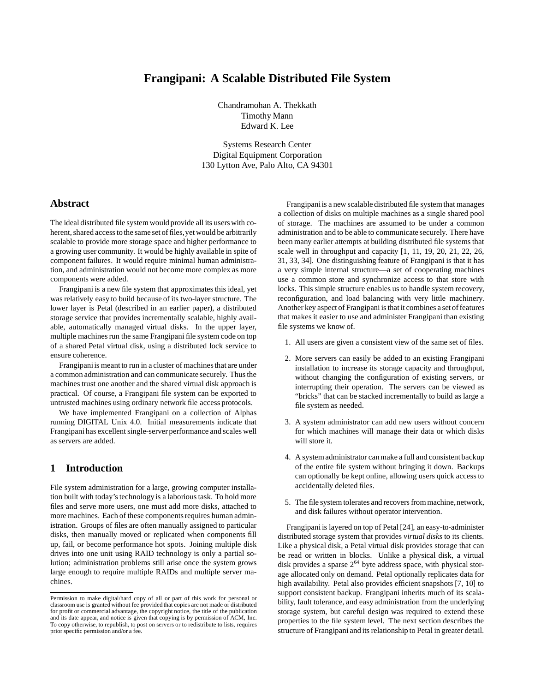# **Frangipani: A Scalable Distributed File System**

Chandramohan A. Thekkath Timothy Mann Edward K. Lee

Systems Research Center Digital Equipment Corporation 130 Lytton Ave, Palo Alto, CA 94301

### **Abstract**

The ideal distributed file system would provide all its userswith coherent, shared access to the same set of files, yet would be arbitrarily scalable to provide more storage space and higher performance to a growing user community. It would be highly available in spite of component failures. It would require minimal human administration, and administration would not become more complex as more components were added.

Frangipani is a new file system that approximates this ideal, yet was relatively easy to build because of its two-layer structure. The lower layer is Petal (described in an earlier paper), a distributed storage service that provides incrementally scalable, highly available, automatically managed virtual disks. In the upper layer, multiple machines run the same Frangipani file system code on top of a shared Petal virtual disk, using a distributed lock service to ensure coherence.

Frangipani is meant to run in a cluster of machines that are under a common administration and can communicate securely. Thus the machines trust one another and the shared virtual disk approach is practical. Of course, a Frangipani file system can be exported to untrusted machines using ordinary network file access protocols.

We have implemented Frangipani on a collection of Alphas running DIGITAL Unix 4.0. Initial measurements indicate that Frangipani has excellent single-server performance and scales well as servers are added.

# **1 Introduction**

File system administration for a large, growing computer installation built with today's technology is a laborious task. To hold more files and serve more users, one must add more disks, attached to more machines. Each of these components requires human administration. Groups of files are often manually assigned to particular disks, then manually moved or replicated when components fill up, fail, or become performance hot spots. Joining multiple disk drives into one unit using RAID technology is only a partial solution; administration problems still arise once the system grows large enough to require multiple RAIDs and multiple server machines.

Frangipani is a new scalable distributed file system that manages a collection of disks on multiple machines as a single shared pool of storage. The machines are assumed to be under a common administration and to be able to communicate securely. There have been many earlier attempts at building distributed file systems that scale well in throughput and capacity [1, 11, 19, 20, 21, 22, 26, 31, 33, 34]. One distinguishing feature of Frangipani is that it has a very simple internal structure—a set of cooperating machines use a common store and synchronize access to that store with locks. This simple structure enables us to handle system recovery, reconfiguration, and load balancing with very little machinery. Another key aspect of Frangipani is that it combines a set of features that makes it easier to use and administer Frangipani than existing file systems we know of.

- 1. All users are given a consistent view of the same set of files.
- 2. More servers can easily be added to an existing Frangipani installation to increase its storage capacity and throughput, without changing the configuration of existing servers, or interrupting their operation. The servers can be viewed as "bricks" that can be stacked incrementally to build as large a file system as needed.
- 3. A system administrator can add new users without concern for which machines will manage their data or which disks will store it.
- 4. A systemadministrator canmake a full and consistent backup of the entire file system without bringing it down. Backups can optionally be kept online, allowing users quick accessto accidentally deleted files.
- 5. The file system tolerates and recovers from machine, network, and disk failures without operator intervention.

Frangipani is layered on top of Petal [24], an easy-to-administer distributed storage system that provides *virtual disks* to its clients. Like a physical disk, a Petal virtual disk provides storage that can be read or written in blocks. Unlike a physical disk, a virtual disk provides a sparse  $2^{64}$  byte address space, with physical storage allocated only on demand. Petal optionally replicates data for high availability. Petal also provides efficient snapshots [7, 10] to support consistent backup. Frangipani inherits much of its scalability, fault tolerance, and easy administration from the underlying storage system, but careful design was required to extend these properties to the file system level. The next section describes the structure of Frangipani and its relationship to Petal in greater detail.

Permission to make digital/hard copy of all or part of this work for personal or classroom use is granted without fee provided that copies are not made or distributed for profit or commercial advantage, the copyright notice, the title of the publication and its date appear, and notice is given that copying is by permission of ACM, Inc. To copy otherwise, to republish, to post on servers or to redistribute to lists, requires prior specific permission and/or a fee.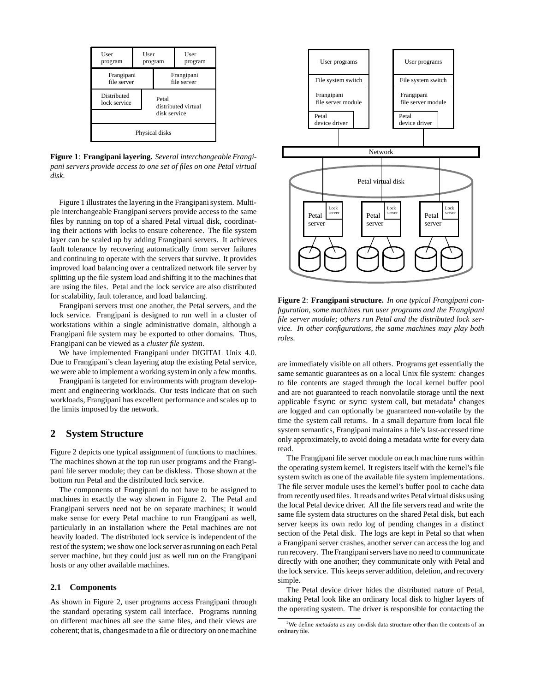

**Figure 1**: **Frangipani layering.** *Several interchangeable Frangipani servers provide access to one set of files on one Petal virtual disk.*

Figure 1 illustrates the layering in the Frangipani system. Multiple interchangeable Frangipani servers provide access to the same files by running on top of a shared Petal virtual disk, coordinating their actions with locks to ensure coherence. The file system layer can be scaled up by adding Frangipani servers. It achieves fault tolerance by recovering automatically from server failures and continuing to operate with the servers that survive. It provides improved load balancing over a centralized network file server by splitting up the file system load and shifting it to the machines that are using the files. Petal and the lock service are also distributed for scalability, fault tolerance, and load balancing.

Frangipani servers trust one another, the Petal servers, and the lock service. Frangipani is designed to run well in a cluster of workstations within a single administrative domain, although a Frangipani file system may be exported to other domains. Thus, Frangipani can be viewed as a *cluster file system*.

We have implemented Frangipani under DIGITAL Unix 4.0. Due to Frangipani's clean layering atop the existing Petal service, we were able to implement a working system in only a few months.

Frangipani is targeted for environments with program development and engineering workloads. Our tests indicate that on such workloads, Frangipani has excellent performance and scales up to the limits imposed by the network.

### **2 System Structure**

Figure 2 depicts one typical assignment of functions to machines. The machines shown at the top run user programs and the Frangipani file server module; they can be diskless. Those shown at the bottom run Petal and the distributed lock service.

The components of Frangipani do not have to be assigned to machines in exactly the way shown in Figure 2. The Petal and Frangipani servers need not be on separate machines; it would make sense for every Petal machine to run Frangipani as well, particularly in an installation where the Petal machines are not heavily loaded. The distributed lock service is independent of the rest of the system; we show one lock server as running on each Petal server machine, but they could just as well run on the Frangipani hosts or any other available machines.

#### **2.1 Components**

As shown in Figure 2, user programs access Frangipani through the standard operating system call interface. Programs running on different machines all see the same files, and their views are coherent; that is, changesmade to a file or directory on onemachine



**Figure 2**: **Frangipani structure.** *In one typical Frangipani configuration, some machines run user programs and the Frangipani file server module; others run Petal and the distributed lock service. In other configurations, the same machines may play both roles.*

are immediately visible on all others. Programs get essentially the same semantic guarantees as on a local Unix file system: changes to file contents are staged through the local kernel buffer pool and are not guaranteed to reach nonvolatile storage until the next applicable  $f$ sync or sync system call, but metadata<sup>1</sup> changes are logged and can optionally be guaranteed non-volatile by the time the system call returns. In a small departure from local file system semantics, Frangipani maintains a file's last-accessed time only approximately, to avoid doing a metadata write for every data read.

The Frangipani file server module on each machine runs within the operating system kernel. It registers itself with the kernel's file system switch as one of the available file system implementations. The file server module uses the kernel's buffer pool to cache data from recently used files. It reads and writes Petal virtual disks using the local Petal device driver. All the file servers read and write the same file system data structures on the shared Petal disk, but each server keeps its own redo log of pending changes in a distinct section of the Petal disk. The logs are kept in Petal so that when a Frangipani server crashes, another server can accessthe log and run recovery. The Frangipani servers have no need to communicate directly with one another; they communicate only with Petal and the lock service. This keeps server addition, deletion, and recovery simple.

The Petal device driver hides the distributed nature of Petal, making Petal look like an ordinary local disk to higher layers of the operating system. The driver is responsible for contacting the

<sup>&</sup>lt;sup>1</sup>We define *metadata* as any on-disk data structure other than the contents of an ordinary file.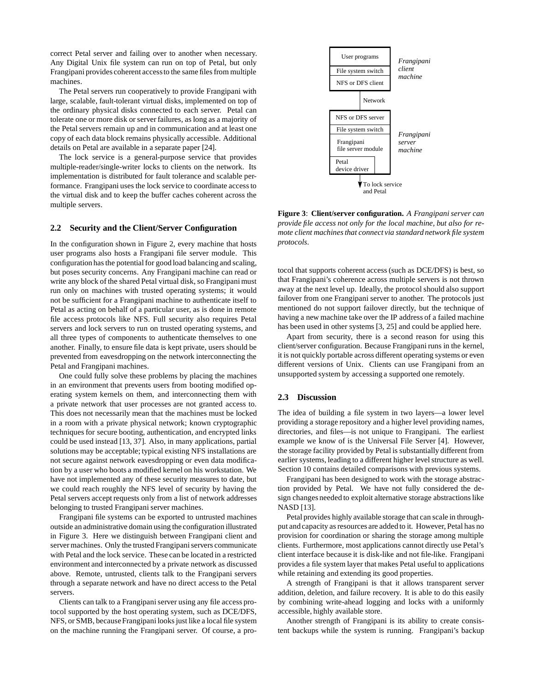correct Petal server and failing over to another when necessary. Any Digital Unix file system can run on top of Petal, but only Frangipani provides coherent access to the same files from multiple machines.

The Petal servers run cooperatively to provide Frangipani with large, scalable, fault-tolerant virtual disks, implemented on top of the ordinary physical disks connected to each server. Petal can tolerate one or more disk or server failures, aslong as a majority of the Petal servers remain up and in communication and at least one copy of each data block remains physically accessible. Additional details on Petal are available in a separate paper [24].

The lock service is a general-purpose service that provides multiple-reader/single-writer locks to clients on the network. Its implementation is distributed for fault tolerance and scalable performance. Frangipani uses the lock service to coordinate access to the virtual disk and to keep the buffer caches coherent across the multiple servers.

#### **2.2 Security and the Client/Server Configuration**

In the configuration shown in Figure 2, every machine that hosts user programs also hosts a Frangipani file server module. This configuration hasthe potential for good load balancing and scaling, but poses security concerns. Any Frangipani machine can read or write any block of the shared Petal virtual disk, so Frangipani must run only on machines with trusted operating systems; it would not be sufficient for a Frangipani machine to authenticate itself to Petal as acting on behalf of a particular user, as is done in remote file access protocols like NFS. Full security also requires Petal servers and lock servers to run on trusted operating systems, and all three types of components to authenticate themselves to one another. Finally, to ensure file data is kept private, users should be prevented from eavesdropping on the network interconnecting the Petal and Frangipani machines.

One could fully solve these problems by placing the machines in an environment that prevents users from booting modified operating system kernels on them, and interconnecting them with a private network that user processes are not granted access to. This does not necessarily mean that the machines must be locked in a room with a private physical network; known cryptographic techniques for secure booting, authentication, and encrypted links could be used instead [13, 37]. Also, in many applications, partial solutions may be acceptable; typical existing NFS installations are not secure against network eavesdropping or even data modification by a user who boots a modified kernel on his workstation. We have not implemented any of these security measures to date, but we could reach roughly the NFS level of security by having the Petal servers accept requests only from a list of network addresses belonging to trusted Frangipani server machines.

Frangipani file systems can be exported to untrusted machines outside an administrative domain using the configuration illustrated in Figure 3. Here we distinguish between Frangipani client and server machines. Only the trusted Frangipaniservers communicate with Petal and the lock service. These can be located in a restricted environment and interconnected by a private network as discussed above. Remote, untrusted, clients talk to the Frangipani servers through a separate network and have no direct access to the Petal servers.

Clients can talk to a Frangipaniserver using any file access protocol supported by the host operating system, such as DCE/DFS, NFS, or SMB, because Frangipani looks just like a local file system on the machine running the Frangipani server. Of course, a pro-



**Figure 3**: **Client/server configuration.** *A Frangipani server can provide file access not only for the local machine, but also for remote client machines that connect via standard network file system protocols.*

tocol that supports coherent access(such as DCE/DFS) is best, so that Frangipani's coherence across multiple servers is not thrown away at the next level up. Ideally, the protocol should also support failover from one Frangipani server to another. The protocols just mentioned do not support failover directly, but the technique of having a new machine take over the IP address of a failed machine has been used in other systems [3, 25] and could be applied here.

Apart from security, there is a second reason for using this client/server configuration. Because Frangipani runs in the kernel, it is not quickly portable across different operating systems or even different versions of Unix. Clients can use Frangipani from an unsupported system by accessing a supported one remotely.

#### **2.3 Discussion**

The idea of building a file system in two layers—a lower level providing a storage repository and a higher level providing names, directories, and files—is not unique to Frangipani. The earliest example we know of is the Universal File Server [4]. However, the storage facility provided by Petal is substantially different from earlier systems, leading to a different higher level structure as well. Section 10 contains detailed comparisons with previous systems.

Frangipani has been designed to work with the storage abstraction provided by Petal. We have not fully considered the design changes needed to exploit alternative storage abstractions like NASD [13].

Petal provides highly available storage that can scale in throughput and capacity as resources are added to it. However, Petal has no provision for coordination or sharing the storage among multiple clients. Furthermore, most applications cannot directly use Petal's client interface because it is disk-like and not file-like. Frangipani provides a file system layer that makes Petal useful to applications while retaining and extending its good properties.

A strength of Frangipani is that it allows transparent server addition, deletion, and failure recovery. It is able to do this easily by combining write-ahead logging and locks with a uniformly accessible, highly available store.

Another strength of Frangipani is its ability to create consistent backups while the system is running. Frangipani's backup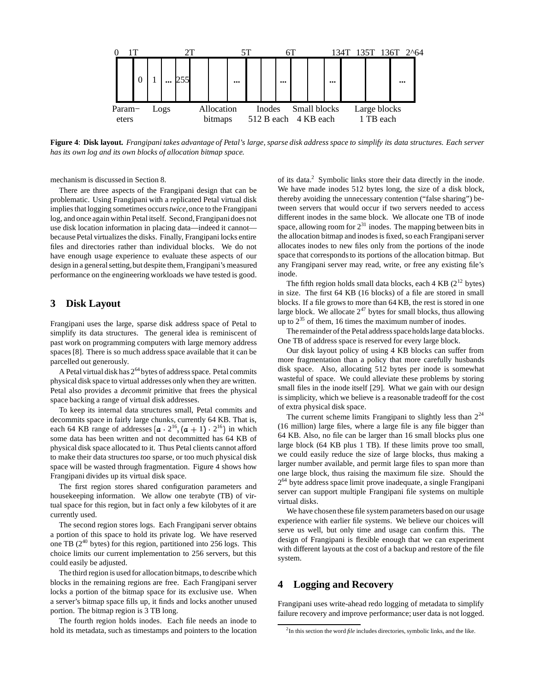

Figure 4: Disk layout. Frangipani takes advantage of Petal's large, sparse disk address space to simplify its data structures. Each server *has its own log and its own blocks of allocation bitmap space.*

mechanism is discussed in Section 8.

There are three aspects of the Frangipani design that can be problematic. Using Frangipani with a replicated Petal virtual disk implies that logging sometimes occurs *twice*, once to the Frangipani log, and once again within Petal itself. Second, Frangipani does not use disk location information in placing data—indeed it cannot because Petal virtualizes the disks. Finally, Frangipani locks entire files and directories rather than individual blocks. We do not have enough usage experience to evaluate these aspects of our design in a general setting, but despite them, Frangipani's measured performance on the engineering workloads we have tested is good.

### **3 Disk Layout**

Frangipani uses the large, sparse disk address space of Petal to simplify its data structures. The general idea is reminiscent of past work on programming computers with large memory address spaces [8]. There is so much address space available that it can be parcelled out generously.

A Petal virtual disk has  $2^{64}$  bytes of address space. Petal commits physical disk space to virtual addresses only when they are written. Petal also provides a *decommit* primitive that frees the physical space backing a range of virtual disk addresses.

To keep its internal data structures small, Petal commits and decommits space in fairly large chunks, currently 64 KB. That is, each 64 KB range of addresses  $[a \ 2^{16}, (a + 1) \ 2^{16})$  in which some data has been written and not decommitted has 64 KB of physical disk space allocated to it. Thus Petal clients cannot afford to make their data structures *too* sparse, or too much physical disk space will be wasted through fragmentation. Figure 4 shows how Frangipani divides up its virtual disk space.

The first region stores shared configuration parameters and housekeeping information. We allow one terabyte (TB) of virtual space for this region, but in fact only a few kilobytes of it are currently used.

The second region stores logs. Each Frangipani server obtains a portion of this space to hold its private log. We have reserved one TB  $(2^{40}$  bytes) for this region, partitioned into 256 logs. This choice limits our current implementation to 256 servers, but this could easily be adjusted.

The third region is used for allocation bitmaps, to describe which blocks in the remaining regions are free. Each Frangipani server locks a portion of the bitmap space for its exclusive use. When a server's bitmap space fills up, it finds and locks another unused portion. The bitmap region is 3 TB long.

The fourth region holds inodes. Each file needs an inode to hold its metadata, such as timestamps and pointers to the location

of its data.<sup>2</sup> Symbolic links store their data directly in the inode. We have made inodes 512 bytes long, the size of a disk block. thereby avoiding the unnecessary contention ("false sharing") between servers that would occur if two servers needed to access different inodes in the same block. We allocate one TB of inode space, allowing room for  $2^{31}$  inodes. The mapping between bits in the allocation bitmap and inodes is fixed, so each Frangipani server allocates inodes to new files only from the portions of the inode space that corresponds to its portions of the allocation bitmap. But any Frangipani server may read, write, or free any existing file's inode.

The fifth region holds small data blocks, each  $4$  KB ( $2^{12}$  bytes) in size. The first 64 KB (16 blocks) of a file are stored in small blocks. If a file growsto more than 64 KB, the rest is stored in one large block. We allocate  $2^{47}$  bytes for small blocks, thus allowing up to  $2^{35}$  of them, 16 times the maximum number of inodes.

The remainder of the Petal address space holds large data blocks. One TB of address space is reserved for every large block.

Our disk layout policy of using 4 KB blocks can suffer from more fragmentation than a policy that more carefully husbands disk space. Also, allocating 512 bytes per inode is somewhat wasteful of space. We could alleviate these problems by storing small files in the inode itself [29]. What we gain with our design is simplicity, which we believe is a reasonable tradeoff for the cost of extra physical disk space.

The current scheme limits Frangipani to slightly less than  $2^{24}$ (16 million) large files, where a large file is any file bigger than 64 KB. Also, no file can be larger than 16 small blocks plus one large block (64 KB plus 1 TB). If these limits prove too small, we could easily reduce the size of large blocks, thus making a larger number available, and permit large files to span more than one large block, thus raising the maximum file size. Should the 2<sup>64</sup> byte address space limit prove inadequate, a single Frangipani server can support multiple Frangipani file systems on multiple virtual disks.

We have chosen these file system parameters based on our usage experience with earlier file systems. We believe our choices will serve us well, but only time and usage can confirm this. The design of Frangipani is flexible enough that we can experiment with different layouts at the cost of a backup and restore of the file system.

# **4 Logging and Recovery**

Frangipani uses write-ahead redo logging of metadata to simplify failure recovery and improve performance; user data is not logged.

<sup>2</sup> In this section the word *file* includes directories, symbolic links, and the like.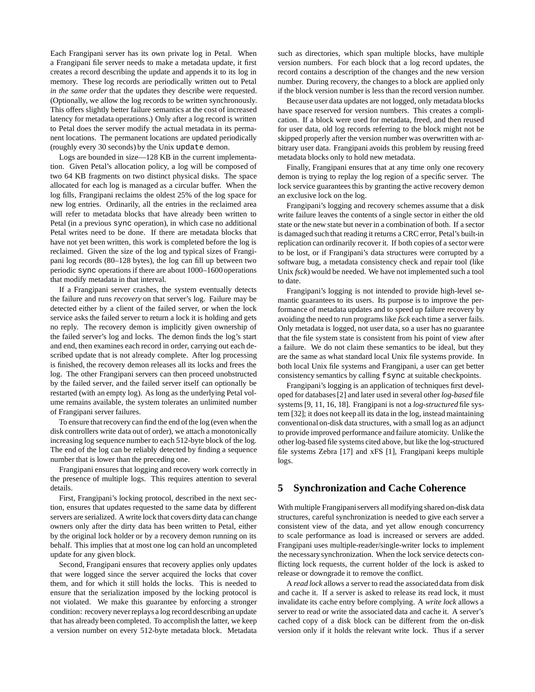Each Frangipani server has its own private log in Petal. When a Frangipani file server needs to make a metadata update, it first creates a record describing the update and appends it to its log in memory. These log records are periodically written out to Petal *in the same order* that the updates they describe were requested. (Optionally, we allow the log records to be written synchronously. This offers slightly better failure semantics at the cost of increased latency for metadata operations.) Only after a log record is written to Petal does the server modify the actual metadata in its permanent locations. The permanent locations are updated periodically (roughly every 30 seconds) by the Unix update demon.

Logs are bounded in size—128 KB in the current implementation. Given Petal's allocation policy, a log will be composed of two 64 KB fragments on two distinct physical disks. The space allocated for each log is managed as a circular buffer. When the log fills, Frangipani reclaims the oldest 25% of the log space for new log entries. Ordinarily, all the entries in the reclaimed area will refer to metadata blocks that have already been written to Petal (in a previous sync operation), in which case no additional Petal writes need to be done. If there are metadata blocks that have not yet been written, this work is completed before the log is reclaimed. Given the size of the log and typical sizes of Frangipani log records (80–128 bytes), the log can fill up between two periodic sync operationsif there are about 1000–1600 operations that modify metadata in that interval.

If a Frangipani server crashes, the system eventually detects the failure and runs *recovery* on that server's log. Failure may be detected either by a client of the failed server, or when the lock service asks the failed server to return a lock it is holding and gets no reply. The recovery demon is implicitly given ownership of the failed server's log and locks. The demon finds the log's start and end, then examines each record in order, carrying out each described update that is not already complete. After log processing is finished, the recovery demon releases all its locks and frees the log. The other Frangipani servers can then proceed unobstructed by the failed server, and the failed server itself can optionally be restarted (with an empty log). As long as the underlying Petal volume remains available, the system tolerates an unlimited number of Frangipani server failures.

To ensure that recovery can find the end of the log (even when the disk controllers write data out of order), we attach a monotonically increasing log sequence number to each 512-byte block of the log. The end of the log can be reliably detected by finding a sequence number that is lower than the preceding one.

Frangipani ensures that logging and recovery work correctly in the presence of multiple logs. This requires attention to several details.

First, Frangipani's locking protocol, described in the next section, ensures that updates requested to the same data by different servers are serialized. A write lock that covers dirty data can change owners only after the dirty data has been written to Petal, either by the original lock holder or by a recovery demon running on its behalf. This implies that at most one log can hold an uncompleted update for any given block.

Second, Frangipani ensures that recovery applies only updates that were logged since the server acquired the locks that cover them, and for which it still holds the locks. This is needed to ensure that the serialization imposed by the locking protocol is not violated. We make this guarantee by enforcing a stronger condition: recovery never replays a log record describing an update that has already been completed. To accomplish the latter, we keep a version number on every 512-byte metadata block. Metadata such as directories, which span multiple blocks, have multiple version numbers. For each block that a log record updates, the record contains a description of the changes and the new version number. During recovery, the changes to a block are applied only if the block version number is lessthan the record version number.

Because user data updates are not logged, only metadata blocks have space reserved for version numbers. This creates a complication. If a block were used for metadata, freed, and then reused for user data, old log records referring to the block might not be skipped properly after the version number was overwritten with arbitrary user data. Frangipani avoids this problem by reusing freed metadata blocks only to hold new metadata.

Finally, Frangipani ensures that at any time only one recovery demon is trying to replay the log region of a specific server. The lock service guarantees this by granting the active recovery demon an exclusive lock on the log.

Frangipani's logging and recovery schemes assume that a disk write failure leaves the contents of a single sector in either the old state or the new state but never in a combination of both. If a sector is damaged such that reading it returns a CRC error, Petal's built-in replication can ordinarily recover it. If both copies of a sector were to be lost, or if Frangipani's data structures were corrupted by a software bug, a metadata consistency check and repair tool (like Unix *fsck*) would be needed. We have not implemented such a tool to date.

Frangipani's logging is not intended to provide high-level semantic guarantees to its users. Its purpose is to improve the performance of metadata updates and to speed up failure recovery by avoiding the need to run programs like *fsck* each time a server fails. Only metadata is logged, not user data, so a user has no guarantee that the file system state is consistent from his point of view after a failure. We do not claim these semantics to be ideal, but they are the same as what standard local Unix file systems provide. In both local Unix file systems and Frangipani, a user can get better consistency semantics by calling fsync at suitable checkpoints.

Frangipani's logging is an application of techniques first developed for databases[2] and later used in several other *log-based* file systems[9, 11, 16, 18]. Frangipani is not a *log-structured* file system [32]; it does not keep all its data in the log, instead maintaining conventional on-disk data structures, with a small log as an adjunct to provide improved performance and failure atomicity. Unlike the other log-based file systems cited above, but like the log-structured file systems Zebra [17] and xFS [1], Frangipani keeps multiple logs.

### **5 Synchronization and Cache Coherence**

With multiple Frangipaniservers all modifying shared on-disk data structures, careful synchronization is needed to give each server a consistent view of the data, and yet allow enough concurrency to scale performance as load is increased or servers are added. Frangipani uses multiple-reader/single-writer locks to implement the necessary synchronization. When the lock service detects conflicting lock requests, the current holder of the lock is asked to release or downgrade it to remove the conflict.

A *read lock* allows a server to read the associated data from disk and cache it. If a server is asked to release its read lock, it must invalidate its cache entry before complying. A *write lock* allows a server to read or write the associated data and cache it. A server's cached copy of a disk block can be different from the on-disk version only if it holds the relevant write lock. Thus if a server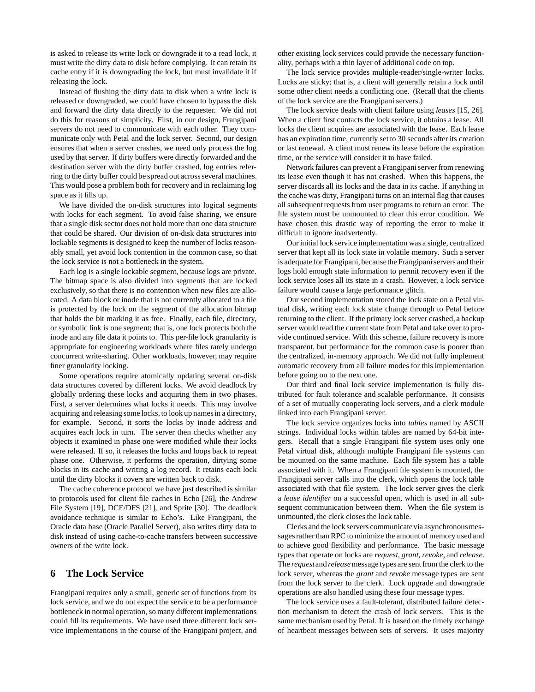is asked to release its write lock or downgrade it to a read lock, it must write the dirty data to disk before complying. It can retain its cache entry if it is downgrading the lock, but must invalidate it if releasing the lock.

Instead of flushing the dirty data to disk when a write lock is released or downgraded, we could have chosen to bypass the disk and forward the dirty data directly to the requester. We did not do this for reasons of simplicity. First, in our design, Frangipani servers do not need to communicate with each other. They communicate only with Petal and the lock server. Second, our design ensures that when a server crashes, we need only process the log used by that server. If dirty buffers were directly forwarded and the destination server with the dirty buffer crashed, log entries referring to the dirty buffer could be spread out across several machines. This would pose a problem both for recovery and in reclaiming log space as it fills up.

We have divided the on-disk structures into logical segments with locks for each segment. To avoid false sharing, we ensure that a single disk sector does not hold more than one data structure that could be shared. Our division of on-disk data structures into lockable segments is designed to keep the number of locks reasonably small, yet avoid lock contention in the common case, so that the lock service is not a bottleneck in the system.

Each log is a single lockable segment, because logs are private. The bitmap space is also divided into segments that are locked exclusively, so that there is no contention when new files are allocated. A data block or inode that is not currently allocated to a file is protected by the lock on the segment of the allocation bitmap that holds the bit marking it as free. Finally, each file, directory, or symbolic link is one segment; that is, one lock protects both the inode and any file data it points to. This per-file lock granularity is appropriate for engineering workloads where files rarely undergo concurrent write-sharing. Other workloads, however, may require finer granularity locking.

Some operations require atomically updating several on-disk data structures covered by different locks. We avoid deadlock by globally ordering these locks and acquiring them in two phases. First, a server determines what locks it needs. This may involve acquiring and releasing some locks, to look up namesin a directory, for example. Second, it sorts the locks by inode address and acquires each lock in turn. The server then checks whether any objects it examined in phase one were modified while their locks were released. If so, it releases the locks and loops back to repeat phase one. Otherwise, it performs the operation, dirtying some blocks in its cache and writing a log record. It retains each lock until the dirty blocks it covers are written back to disk.

The cache coherence protocol we have just described is similar to protocols used for client file caches in Echo [26], the Andrew File System [19], DCE/DFS [21], and Sprite [30]. The deadlock avoidance technique is similar to Echo's. Like Frangipani, the Oracle data base (Oracle Parallel Server), also writes dirty data to disk instead of using cache-to-cache transfers between successive owners of the write lock.

# **6 The Lock Service**

Frangipani requires only a small, generic set of functions from its lock service, and we do not expect the service to be a performance bottleneck in normal operation, so many different implementations could fill its requirements. We have used three different lock service implementations in the course of the Frangipani project, and other existing lock services could provide the necessary functionality, perhaps with a thin layer of additional code on top.

The lock service provides multiple-reader/single-writer locks. Locks are sticky; that is, a client will generally retain a lock until some other client needs a conflicting one. (Recall that the clients of the lock service are the Frangipani servers.)

The lock service deals with client failure using *leases* [15, 26]. When a client first contacts the lock service, it obtains a lease. All locks the client acquires are associated with the lease. Each lease has an expiration time, currently set to 30 seconds after its creation or last renewal. A client must renew its lease before the expiration time, or the service will consider it to have failed.

Network failures can prevent a Frangipaniserver from renewing its lease even though it has not crashed. When this happens, the server discards all its locks and the data in its cache. If anything in the cache was dirty, Frangipani turns on an internal flag that causes all subsequent requests from user programs to return an error. The file system must be unmounted to clear this error condition. We have chosen this drastic way of reporting the error to make it difficult to ignore inadvertently.

Our initial lock service implementation was a single, centralized server that kept all its lock state in volatile memory. Such a server is adequate for Frangipani, becausethe Frangipaniservers and their logs hold enough state information to permit recovery even if the lock service loses all its state in a crash. However, a lock service failure would cause a large performance glitch.

Our second implementation stored the lock state on a Petal virtual disk, writing each lock state change through to Petal before returning to the client. If the primary lock server crashed, a backup server would read the current state from Petal and take over to provide continued service. With this scheme, failure recovery is more transparent, but performance for the common case is poorer than the centralized, in-memory approach. We did not fully implement automatic recovery from all failure modes for this implementation before going on to the next one.

Our third and final lock service implementation is fully distributed for fault tolerance and scalable performance. It consists of a set of mutually cooperating lock servers, and a clerk module linked into each Frangipani server.

The lock service organizes locks into *tables* named by ASCII strings. Individual locks within tables are named by 64-bit integers. Recall that a single Frangipani file system uses only one Petal virtual disk, although multiple Frangipani file systems can be mounted on the same machine. Each file system has a table associated with it. When a Frangipani file system is mounted, the Frangipani server calls into the clerk, which opens the lock table associated with that file system. The lock server gives the clerk a *lease identifier* on a successful open, which is used in all subsequent communication between them. When the file system is unmounted, the clerk closes the lock table.

Clerks and the lock servers communicatevia asynchronousmessages rather than RPC to minimize the amount of memory used and to achieve good flexibility and performance. The basic message types that operate on locks are *request, grant, revoke,* and *release*. The *request*and *release*message types are sent from the clerk to the lock server, whereas the *grant* and *revoke* message types are sent from the lock server to the clerk. Lock upgrade and downgrade operations are also handled using these four message types.

The lock service uses a fault-tolerant, distributed failure detection mechanism to detect the crash of lock servers. This is the same mechanism used by Petal. It is based on the timely exchange of heartbeat messages between sets of servers. It uses majority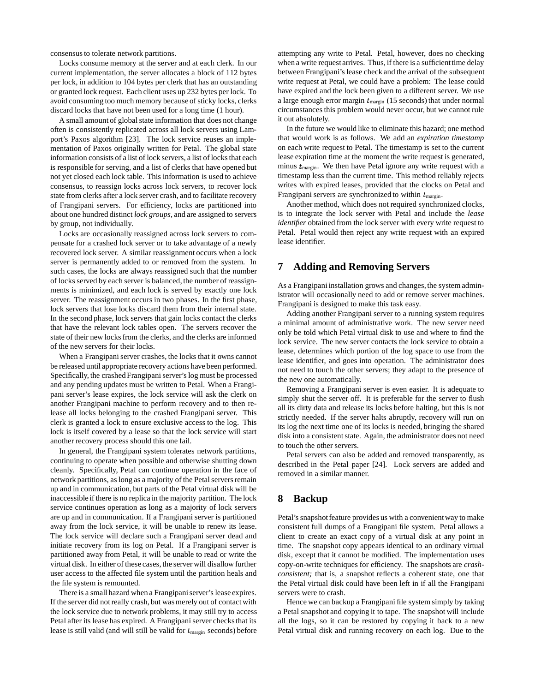consensus to tolerate network partitions.

Locks consume memory at the server and at each clerk. In our current implementation, the server allocates a block of 112 bytes per lock, in addition to 104 bytes per clerk that has an outstanding or granted lock request. Each client uses up 232 bytes per lock. To avoid consuming too much memory because of sticky locks, clerks discard locks that have not been used for a long time (1 hour).

A small amount of global state information that does not change often is consistently replicated across all lock servers using Lamport's Paxos algorithm [23]. The lock service reuses an implementation of Paxos originally written for Petal. The global state information consists of a list of lock servers, a list of locks that each is responsible for serving, and a list of clerks that have opened but not yet closed each lock table. This information is used to achieve consensus, to reassign locks across lock servers, to recover lock state from clerks after a lock server crash, and to facilitate recovery of Frangipani servers. For efficiency, locks are partitioned into about one hundred distinct *lock groups*, and are assigned to servers by group, not individually.

Locks are occasionally reassigned across lock servers to compensate for a crashed lock server or to take advantage of a newly recovered lock server. A similar reassignment occurs when a lock server is permanently added to or removed from the system. In such cases, the locks are always reassigned such that the number of locks served by each server is balanced, the number of reassignments is minimized, and each lock is served by exactly one lock server. The reassignment occurs in two phases. In the first phase, lock servers that lose locks discard them from their internal state. In the second phase, lock servers that gain locks contact the clerks that have the relevant lock tables open. The servers recover the state of their new locks from the clerks, and the clerks are informed of the new servers for their locks.

When a Frangipaniserver crashes, the locks that it owns cannot be released until appropriate recovery actions have been performed. Specifically, the crashed Frangipani server's log must be processed and any pending updates must be written to Petal. When a Frangipani server's lease expires, the lock service will ask the clerk on another Frangipani machine to perform recovery and to then release all locks belonging to the crashed Frangipani server. This clerk is granted a lock to ensure exclusive access to the log. This lock is itself covered by a lease so that the lock service will start another recovery process should this one fail.

In general, the Frangipani system tolerates network partitions, continuing to operate when possible and otherwise shutting down cleanly. Specifically, Petal can continue operation in the face of network partitions, as long as a majority of the Petal servers remain up and in communication, but parts of the Petal virtual disk will be inaccessible if there is no replica in the majority partition. The lock service continues operation as long as a majority of lock servers are up and in communication. If a Frangipani server is partitioned away from the lock service, it will be unable to renew its lease. The lock service will declare such a Frangipani server dead and initiate recovery from its log on Petal. If a Frangipani server is partitioned away from Petal, it will be unable to read or write the virtual disk. In either of these cases, the server will disallow further user access to the affected file system until the partition heals and the file system is remounted.

There is a small hazard when a Frangipani server's lease expires. If the server did not really crash, but wasmerely out of contact with the lock service due to network problems, it may still try to access Petal after its lease has expired. A Frangipani server checks that its lease is still valid (and will still be valid for  $t_{\text{margin}}$  seconds) before

attempting any write to Petal. Petal, however, does no checking when a write request arrives. Thus, if there is a sufficient time delay between Frangipani'slease check and the arrival of the subsequent write request at Petal, we could have a problem: The lease could have expired and the lock been given to a different server. We use a large enough error margin  $t_{\text{margin}}$  (15 seconds) that under normal circumstancesthis problem would never occur, but we cannot rule it out absolutely.

In the future we would like to eliminate this hazard; one method that would work is as follows. We add an *expiration timestamp* on each write request to Petal. The timestamp is set to the current lease expiration time at the moment the write request is generated, minus  $t_{\text{margin}}$ . We then have Petal ignore any write request with a timestamp less than the current time. This method reliably rejects writes with expired leases, provided that the clocks on Petal and Frangipani servers are synchronized to within  $t_{\text{margin}}$ .

Another method, which does not required synchronized clocks, is to integrate the lock server with Petal and include the *lease identifier* obtained from the lock server with every write request to Petal. Petal would then reject any write request with an expired lease identifier.

### **7 Adding and Removing Servers**

As a Frangipani installation grows and changes, the system administrator will occasionally need to add or remove server machines. Frangipani is designed to make this task easy.

Adding another Frangipani server to a running system requires a minimal amount of administrative work. The new server need only be told which Petal virtual disk to use and where to find the lock service. The new server contacts the lock service to obtain a lease, determines which portion of the log space to use from the lease identifier, and goes into operation. The administrator does not need to touch the other servers; they adapt to the presence of the new one automatically.

Removing a Frangipani server is even easier. It is adequate to simply shut the server off. It is preferable for the server to flush all its dirty data and release its locks before halting, but this is not strictly needed. If the server halts abruptly, recovery will run on its log the next time one of its locks is needed, bringing the shared disk into a consistent state. Again, the administrator does not need to touch the other servers.

Petal servers can also be added and removed transparently, as described in the Petal paper [24]. Lock servers are added and removed in a similar manner.

### **8 Backup**

Petal's snapshot feature provides us with a convenient way to make consistent full dumps of a Frangipani file system. Petal allows a client to create an exact copy of a virtual disk at any point in time. The snapshot copy appears identical to an ordinary virtual disk, except that it cannot be modified. The implementation uses copy-on-write techniques for efficiency. The snapshots are *crashconsistent;* that is, a snapshot reflects a coherent state, one that the Petal virtual disk could have been left in if all the Frangipani servers were to crash.

Hence we can backup a Frangipani file system simply by taking a Petal snapshot and copying it to tape. The snapshot will include all the logs, so it can be restored by copying it back to a new Petal virtual disk and running recovery on each log. Due to the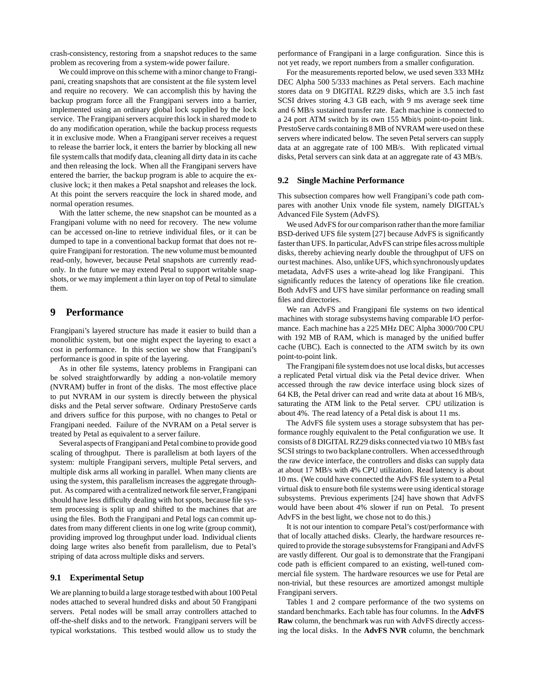crash-consistency, restoring from a snapshot reduces to the same problem as recovering from a system-wide power failure.

We could improve on this scheme with a minor change to Frangipani, creating snapshots that are consistent at the file system level and require no recovery. We can accomplish this by having the backup program force all the Frangipani servers into a barrier, implemented using an ordinary global lock supplied by the lock service. The Frangipaniservers acquire thislock in shared mode to do any modification operation, while the backup process requests it in exclusive mode. When a Frangipani server receives a request to release the barrier lock, it enters the barrier by blocking all new file system calls that modify data, cleaning all dirty data in its cache and then releasing the lock. When all the Frangipani servers have entered the barrier, the backup program is able to acquire the exclusive lock; it then makes a Petal snapshot and releases the lock. At this point the servers reacquire the lock in shared mode, and normal operation resumes.

With the latter scheme, the new snapshot can be mounted as a Frangipani volume with no need for recovery. The new volume can be accessed on-line to retrieve individual files, or it can be dumped to tape in a conventional backup format that does not require Frangipani for restoration. The new volume must be mounted read-only, however, because Petal snapshots are currently readonly. In the future we may extend Petal to support writable snapshots, or we may implement a thin layer on top of Petal to simulate them.

# **9 Performance**

Frangipani's layered structure has made it easier to build than a monolithic system, but one might expect the layering to exact a cost in performance. In this section we show that Frangipani's performance is good in spite of the layering.

As in other file systems, latency problems in Frangipani can be solved straightforwardly by adding a non-volatile memory (NVRAM) buffer in front of the disks. The most effective place to put NVRAM in our system is directly between the physical disks and the Petal server software. Ordinary PrestoServe cards and drivers suffice for this purpose, with no changes to Petal or Frangipani needed. Failure of the NVRAM on a Petal server is treated by Petal as equivalent to a server failure.

Several aspects of Frangipani and Petal combine to provide good scaling of throughput. There is parallelism at both layers of the system: multiple Frangipani servers, multiple Petal servers, and multiple disk arms all working in parallel. When many clients are using the system, this parallelism increases the aggregate throughput. As compared with a centralized network file server, Frangipani should have less difficulty dealing with hot spots, because file system processing is split up and shifted to the machines that are using the files. Both the Frangipani and Petal logs can commit updates from many different clients in one log write (group commit), providing improved log throughput under load. Individual clients doing large writes also benefit from parallelism, due to Petal's striping of data across multiple disks and servers.

#### **9.1 Experimental Setup**

We are planning to build a large storage testbed with about 100 Petal nodes attached to several hundred disks and about 50 Frangipani servers. Petal nodes will be small array controllers attached to off-the-shelf disks and to the network. Frangipani servers will be typical workstations. This testbed would allow us to study the

performance of Frangipani in a large configuration. Since this is not yet ready, we report numbers from a smaller configuration.

For the measurements reported below, we used seven 333 MHz DEC Alpha 500 5/333 machines as Petal servers. Each machine stores data on 9 DIGITAL RZ29 disks, which are 3.5 inch fast SCSI drives storing 4.3 GB each, with 9 ms average seek time and 6 MB/s sustained transfer rate. Each machine is connected to a 24 port ATM switch by its own 155 Mbit/s point-to-point link. PrestoServe cards containing 8 MB of NVRAM were used on these servers where indicated below. The seven Petal servers can supply data at an aggregate rate of 100 MB/s. With replicated virtual disks, Petal servers can sink data at an aggregate rate of 43 MB/s.

#### **9.2 Single Machine Performance**

This subsection compares how well Frangipani's code path compares with another Unix vnode file system, namely DIGITAL's Advanced File System (AdvFS).

We used AdvFS for our comparison rather than the more familiar BSD-derived UFS file system [27] because AdvFS is significantly faster than UFS. In particular, AdvFS can stripe files across multiple disks, thereby achieving nearly double the throughput of UFS on our test machines. Also, unlikeUFS, which synchronouslyupdates metadata, AdvFS uses a write-ahead log like Frangipani. This significantly reduces the latency of operations like file creation. Both AdvFS and UFS have similar performance on reading small files and directories.

We ran AdvFS and Frangipani file systems on two identical machines with storage subsystems having comparable I/O performance. Each machine has a 225 MHz DEC Alpha 3000/700 CPU with 192 MB of RAM, which is managed by the unified buffer cache (UBC). Each is connected to the ATM switch by its own point-to-point link.

The Frangipani file system does not use local disks, but accesses a replicated Petal virtual disk via the Petal device driver. When accessed through the raw device interface using block sizes of 64 KB, the Petal driver can read and write data at about 16 MB/s, saturating the ATM link to the Petal server. CPU utilization is about 4%. The read latency of a Petal disk is about 11 ms.

The AdvFS file system uses a storage subsystem that has performance roughly equivalent to the Petal configuration we use. It consists of 8 DIGITAL RZ29 disks connected via two 10 MB/s fast SCSI strings to two backplane controllers. When accessed through the raw device interface, the controllers and disks can supply data at about 17 MB/s with 4% CPU utilization. Read latency is about 10 ms. (We could have connected the AdvFS file system to a Petal virtual disk to ensure both file systems were using identical storage subsystems. Previous experiments [24] have shown that AdvFS would have been about 4% slower if run on Petal. To present AdvFS in the best light, we chose not to do this.)

It is not our intention to compare Petal's cost/performance with that of locally attached disks. Clearly, the hardware resources required to provide the storage subsystems for Frangipani and AdvFS are vastly different. Our goal is to demonstrate that the Frangipani code path is efficient compared to an existing, well-tuned commercial file system. The hardware resources we use for Petal are non-trivial, but these resources are amortized amongst multiple Frangipani servers.

Tables 1 and 2 compare performance of the two systems on standard benchmarks. Each table hasfour columns. In the **AdvFS Raw** column, the benchmark was run with AdvFS directly accessing the local disks. In the **AdvFS NVR** column, the benchmark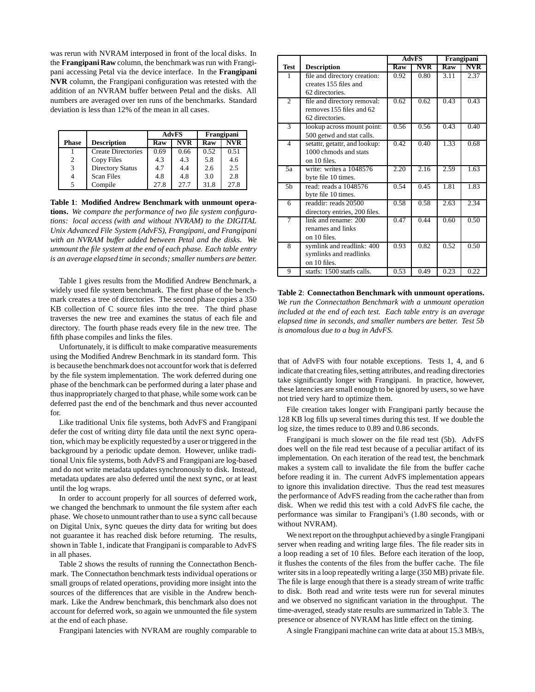was rerun with NVRAM interposed in front of the local disks. In the **Frangipani Raw** column, the benchmarkwasrun with Frangipani accessing Petal via the device interface. In the **Frangipani NVR** column, the Frangipani configuration was retested with the addition of an NVRAM buffer between Petal and the disks. All numbers are averaged over ten runs of the benchmarks. Standard deviation is less than 12% of the mean in all cases.

|              |                           | <b>AdvFS</b> |            | Frangipani |            |
|--------------|---------------------------|--------------|------------|------------|------------|
| <b>Phase</b> | <b>Description</b>        | Raw          | <b>NVR</b> | Raw        | <b>NVR</b> |
|              | <b>Create Directories</b> | 0.69         | 0.66       | 0.52       | 0.51       |
| 2            | Copy Files                | 4.3          | 4.3        | 5.8        | 4.6        |
| 3            | <b>Directory Status</b>   | 4.7          | 4.4        | 2.6        | 2.5        |
| 4            | <b>Scan Files</b>         | 4.8          | 4.8        | 3.0        | 2.8        |
| 5            | Compile                   | 27.8         | 27.7       | 31.8       | 27.8       |

**Table 1**: **Modified Andrew Benchmark with unmount operations.** *We compare the performance of two file system configurations: local access (with and without NVRAM) to the DIGITAL Unix Advanced File System (AdvFS), Frangipani, and Frangipani with an NVRAM buffer added between Petal and the disks. We unmount the file system at the end of each phase. Each table entry is an average elapsed time in seconds;smaller numbers are better.*

Table 1 gives results from the Modified Andrew Benchmark, a widely used file system benchmark. The first phase of the benchmark creates a tree of directories. The second phase copies a 350 KB collection of C source files into the tree. The third phase traverses the new tree and examines the status of each file and directory. The fourth phase reads every file in the new tree. The fifth phase compiles and links the files.

Unfortunately, it is difficult to make comparative measurements using the Modified Andrew Benchmark in its standard form. This is becausethe benchmarkdoes not accountfor work that is deferred by the file system implementation. The work deferred during one phase of the benchmark can be performed during a later phase and thusinappropriately charged to that phase, while some work can be deferred past the end of the benchmark and thus never accounted for.

Like traditional Unix file systems, both AdvFS and Frangipani defer the cost of writing dirty file data until the next sync operation, which may be explicitly requested by a user or triggered in the background by a periodic update demon. However, unlike traditional Unix file systems, both AdvFS and Frangipani are log-based and do not write metadata updates synchronously to disk. Instead, metadata updates are also deferred until the next sync, or at least until the log wraps.

In order to account properly for all sources of deferred work, we changed the benchmark to unmount the file system after each phase. We choseto unmount rather than to use a sync call because on Digital Unix, sync queues the dirty data for writing but does not guarantee it has reached disk before returning. The results, shown in Table 1, indicate that Frangipani is comparable to AdvFS in all phases.

Table 2 shows the results of running the Connectathon Benchmark. The Connectathon benchmark tests individual operations or small groups of related operations, providing more insight into the sources of the differences that are visible in the Andrew benchmark. Like the Andrew benchmark, this benchmark also does not account for deferred work, so again we unmounted the file system at the end of each phase.

Frangipani latencies with NVRAM are roughly comparable to

|                |                               | <b>AdvFS</b> |                         | Frangipani |            |
|----------------|-------------------------------|--------------|-------------------------|------------|------------|
| <b>Test</b>    | <b>Description</b>            | Raw          | $\overline{\text{NVR}}$ | Raw        | <b>NVR</b> |
| 1              | file and directory creation:  | 0.92         | 0.80                    | 3.11       | 2.37       |
|                | creates 155 files and         |              |                         |            |            |
|                | 62 directories.               |              |                         |            |            |
| $\mathfrak{2}$ | file and directory removal:   | 0.62<br>0.62 |                         | 0.43       | 0.43       |
|                | removes 155 files and 62      |              |                         |            |            |
|                | 62 directories.               |              |                         |            |            |
| 3              | lookup across mount point:    | 0.56         | 0.56                    | 0.43       | 0.40       |
|                | 500 getwd and stat calls.     |              |                         |            |            |
| 4              | setattr, getattr, and lookup: | 0.42         | 0.40                    | 1.33       | 0.68       |
|                | 1000 chmods and stats         |              |                         |            |            |
|                | on 10 files.                  |              |                         |            |            |
| 5a             | write: writes a 1048576       | 2.20         | 2.16                    | 2.59       | 1.63       |
|                | byte file 10 times.           |              |                         |            |            |
| 5 <sub>b</sub> | read: reads a 1048576         | 0.54         | 0.45                    | 1.81       | 1.83       |
|                | byte file 10 times.           |              |                         |            |            |
| 6              | readdir: reads 20500          | 0.58         | 0.58                    | 2.63       | 2.34       |
|                | directory entries, 200 files. |              |                         |            |            |
| 7              | link and rename: 200          | 0.47         | 0.44                    | 0.60       | 0.50       |
|                | renames and links             |              |                         |            |            |
|                | on 10 files.                  |              |                         |            |            |
| 8              | symlink and readlink: 400     | 0.93         | 0.82                    | 0.52       | 0.50       |
|                | symlinks and readlinks        |              |                         |            |            |
|                | on 10 files.                  |              |                         |            |            |
| 9              | statfs: 1500 statfs calls.    | 0.53         | 0.49                    | 0.23       | 0.22       |

**Table 2**: **Connectathon Benchmark with unmount operations.** *We run the Connectathon Benchmark with a unmount operation included at the end of each test. Each table entry is an average elapsed time in seconds, and smaller numbers are better. Test 5b is anomalous due to a bug in AdvFS.*

that of AdvFS with four notable exceptions. Tests 1, 4, and 6 indicate that creating files,setting attributes, and reading directories take significantly longer with Frangipani. In practice, however, these latencies are small enough to be ignored by users, so we have not tried very hard to optimize them.

File creation takes longer with Frangipani partly because the 128 KB log fills up several times during this test. If we double the log size, the times reduce to 0.89 and 0.86 seconds.

Frangipani is much slower on the file read test (5b). AdvFS does well on the file read test because of a peculiar artifact of its implementation. On each iteration of the read test, the benchmark makes a system call to invalidate the file from the buffer cache before reading it in. The current AdvFS implementation appears to ignore this invalidation directive. Thus the read test measures the performance of AdvFS reading from the cache rather than from disk. When we redid this test with a cold AdvFS file cache, the performance was similar to Frangipani's (1.80 seconds, with or without NVRAM).

We next report on the throughput achieved by a single Frangipani server when reading and writing large files. The file reader sits in a loop reading a set of 10 files. Before each iteration of the loop, it flushes the contents of the files from the buffer cache. The file writer sits in a loop repeatedly writing a large (350 MB) private file. The file is large enough that there is a steady stream of write traffic to disk. Both read and write tests were run for several minutes and we observed no significant variation in the throughput. The time-averaged, steady state results are summarized in Table 3. The presence or absence of NVRAM has little effect on the timing.

A single Frangipani machine can write data at about 15.3 MB/s,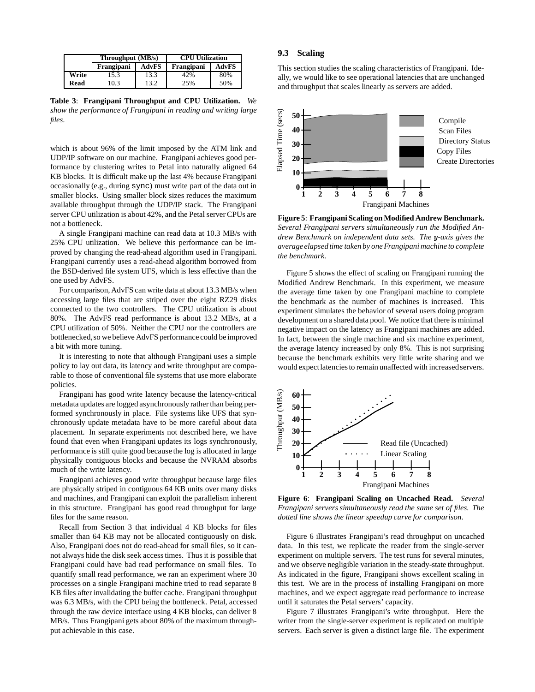|       | Throughput (MB/s) |       | <b>CPU Utilization</b> |              |  |
|-------|-------------------|-------|------------------------|--------------|--|
|       | Frangipani        | AdvFS | Frangipani             | <b>AdvFS</b> |  |
| Write | 15.3              | 13.3  | 42%                    | 80%          |  |
| Read  | 10.3              | 13.2  | 25%                    | 50%          |  |

**Table 3**: **Frangipani Throughput and CPU Utilization.** *We show the performance of Frangipani in reading and writing large files.*

which is about 96% of the limit imposed by the ATM link and UDP/IP software on our machine. Frangipani achieves good performance by clustering writes to Petal into naturally aligned 64 KB blocks. It is difficult make up the last 4% because Frangipani occasionally (e.g., during sync) must write part of the data out in smaller blocks. Using smaller block sizes reduces the maximum available throughput through the UDP/IP stack. The Frangipani server CPU utilization is about 42%, and the Petal server CPUs are not a bottleneck.

A single Frangipani machine can read data at 10.3 MB/s with 25% CPU utilization. We believe this performance can be improved by changing the read-ahead algorithm used in Frangipani. Frangipani currently uses a read-ahead algorithm borrowed from the BSD-derived file system UFS, which is less effective than the one used by AdvFS.

For comparison, AdvFS can write data at about 13.3 MB/s when accessing large files that are striped over the eight RZ29 disks connected to the two controllers. The CPU utilization is about 80%. The AdvFS read performance is about 13.2 MB/s, at a CPU utilization of 50%. Neither the CPU nor the controllers are bottlenecked,so we believe AdvFS performance could be improved a bit with more tuning.

It is interesting to note that although Frangipani uses a simple policy to lay out data, its latency and write throughput are comparable to those of conventional file systems that use more elaborate policies.

Frangipani has good write latency because the latency-critical metadata updates are logged asynchronously rather than being performed synchronously in place. File systems like UFS that synchronously update metadata have to be more careful about data placement. In separate experiments not described here, we have found that even when Frangipani updates its logs synchronously, performance is still quite good because the log is allocated in large physically contiguous blocks and because the NVRAM absorbs much of the write latency.

Frangipani achieves good write throughput because large files are physically striped in contiguous 64 KB units over many disks and machines, and Frangipani can exploit the parallelism inherent in this structure. Frangipani has good read throughput for large files for the same reason.

Recall from Section 3 that individual 4 KB blocks for files smaller than 64 KB may not be allocated contiguously on disk. Also, Frangipani does not do read-ahead for small files, so it cannot always hide the disk seek accesstimes. Thusit is possible that Frangipani could have bad read performance on small files. To quantify small read performance, we ran an experiment where 30 processes on a single Frangipani machine tried to read separate 8 KB files after invalidating the buffer cache. Frangipani throughput was 6.3 MB/s, with the CPU being the bottleneck. Petal, accessed through the raw device interface using 4 KB blocks, can deliver 8 MB/s. Thus Frangipani gets about 80% of the maximum throughput achievable in this case.

#### **9.3 Scaling**

This section studies the scaling characteristics of Frangipani. Ideally, we would like to see operational latencies that are unchanged and throughput that scales linearly as servers are added.



**Figure 5**: **Frangipani Scaling on Modified Andrew Benchmark.** *Several Frangipani servers simultaneously run the Modified Andrew Benchmark on independent data sets. The -axis gives the averageelapsed time taken by oneFrangipani machine to complete the benchmark.*

Figure 5 shows the effect of scaling on Frangipani running the Modified Andrew Benchmark. In this experiment, we measure the average time taken by one Frangipani machine to complete the benchmark as the number of machines is increased. This experiment simulates the behavior of several users doing program development on a shared data pool. We notice that there is minimal negative impact on the latency as Frangipani machines are added. In fact, between the single machine and six machine experiment, the average latency increased by only 8%. This is not surprising because the benchmark exhibits very little write sharing and we would expect latencies to remain unaffected with increased servers.



**Figure 6**: **Frangipani Scaling on Uncached Read.** *Several Frangipani serverssimultaneously read the same set of files. The dotted line shows the linear speedup curve for comparison.*

Figure 6 illustrates Frangipani's read throughput on uncached data. In this test, we replicate the reader from the single-server experiment on multiple servers. The test runs for several minutes, and we observe negligible variation in the steady-state throughput. As indicated in the figure, Frangipani shows excellent scaling in this test. We are in the process of installing Frangipani on more machines, and we expect aggregate read performance to increase until it saturates the Petal servers' capacity.

Figure 7 illustrates Frangipani's write throughput. Here the writer from the single-server experiment is replicated on multiple servers. Each server is given a distinct large file. The experiment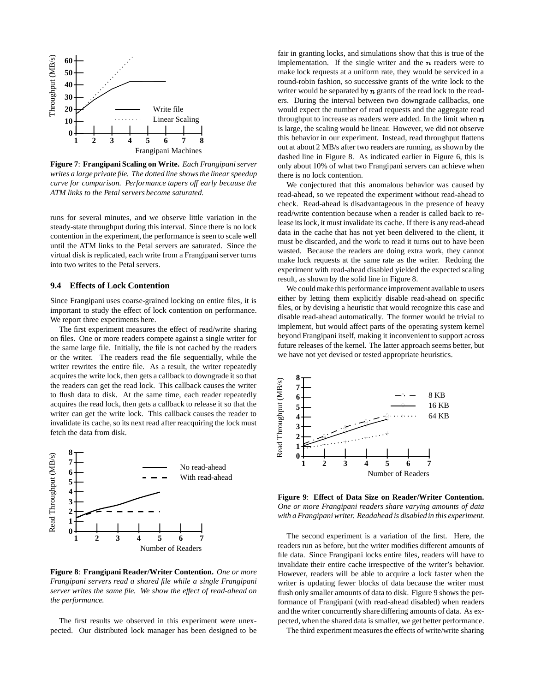

**Figure 7**: **Frangipani Scaling on Write.** *Each Frangipaniserver writes a large private file. The dotted line showsthe linearspeedup curve for comparison. Performance tapers off early because the ATM links to the Petal servers become saturated.*

runs for several minutes, and we observe little variation in the steady-state throughput during this interval. Since there is no lock contention in the experiment, the performance is seen to scale well until the ATM links to the Petal servers are saturated. Since the virtual disk is replicated, each write from a Frangipaniserver turns into two writes to the Petal servers.

#### **9.4 Effects of Lock Contention**

Since Frangipani uses coarse-grained locking on entire files, it is important to study the effect of lock contention on performance. We report three experiments here.

The first experiment measures the effect of read/write sharing on files. One or more readers compete against a single writer for the same large file. Initially, the file is not cached by the readers or the writer. The readers read the file sequentially, while the writer rewrites the entire file. As a result, the writer repeatedly acquires the write lock, then gets a callback to downgrade it so that the readers can get the read lock. This callback causes the writer to flush data to disk. At the same time, each reader repeatedly acquires the read lock, then gets a callback to release it so that the writer can get the write lock. This callback causes the reader to invalidate its cache, so its next read after reacquiring the lock must fetch the data from disk.



**Figure 8**: **Frangipani Reader/Writer Contention.** *One or more Frangipani servers read a shared file while a single Frangipani server writes the same file. We show the effect of read-ahead on the performance.*

The first results we observed in this experiment were unexpected. Our distributed lock manager has been designed to be

fair in granting locks, and simulations show that this is true of the implementation. If the single writer and the  $n$  readers were to make lock requests at a uniform rate, they would be serviced in a round-robin fashion, so successive grants of the write lock to the writer would be separated by  $n$  grants of the read lock to the readers. During the interval between two downgrade callbacks, one would expect the number of read requests and the aggregate read throughput to increase as readers were added. In the limit when  $n$ is large, the scaling would be linear. However, we did not observe this behavior in our experiment. Instead, read throughput flattens out at about 2 MB/s after two readers are running, as shown by the dashed line in Figure 8. As indicated earlier in Figure 6, this is only about 10% of what two Frangipani servers can achieve when there is no lock contention.

We conjectured that this anomalous behavior was caused by read-ahead, so we repeated the experiment without read-ahead to check. Read-ahead is disadvantageous in the presence of heavy read/write contention because when a reader is called back to release itslock, it must invalidate its cache. If there is any read-ahead data in the cache that has not yet been delivered to the client, it must be discarded, and the work to read it turns out to have been wasted. Because the readers are doing extra work, they cannot make lock requests at the same rate as the writer. Redoing the experiment with read-ahead disabled yielded the expected scaling result, as shown by the solid line in Figure 8.

We could make this performance improvement available to users either by letting them explicitly disable read-ahead on specific files, or by devising a heuristic that would recognize this case and disable read-ahead automatically. The former would be trivial to implement, but would affect parts of the operating system kernel beyond Frangipani itself, making it inconvenient to support across future releases of the kernel. The latter approach seems better, but we have not yet devised or tested appropriate heuristics.



**Figure 9**: **Effect of Data Size on Reader/Writer Contention.** *One or more Frangipani readers share varying amounts of data with a Frangipaniwriter. Readahead is disabled in this experiment.*

The second experiment is a variation of the first. Here, the readers run as before, but the writer modifies different amounts of file data. Since Frangipani locks entire files, readers will have to invalidate their entire cache irrespective of the writer's behavior. However, readers will be able to acquire a lock faster when the writer is updating fewer blocks of data because the writer must flush only smaller amounts of data to disk. Figure 9 shows the performance of Frangipani (with read-ahead disabled) when readers and the writer concurrently share differing amounts of data. As expected, when the shared data is smaller, we get better performance.

The third experiment measures the effects of write/write sharing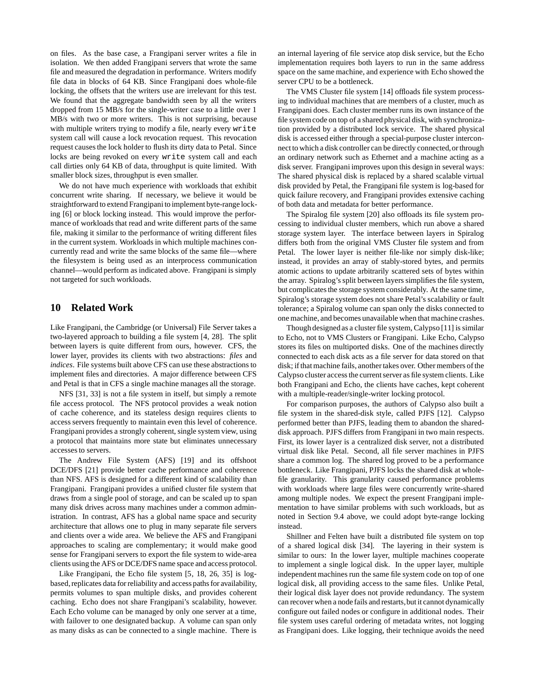on files. As the base case, a Frangipani server writes a file in isolation. We then added Frangipani servers that wrote the same file and measured the degradation in performance. Writers modify file data in blocks of 64 KB. Since Frangipani does whole-file locking, the offsets that the writers use are irrelevant for this test. We found that the aggregate bandwidth seen by all the writers dropped from 15 MB/s for the single-writer case to a little over 1 MB/s with two or more writers. This is not surprising, because with multiple writers trying to modify a file, nearly every write system call will cause a lock revocation request. This revocation request causes the lock holder to flush its dirty data to Petal. Since locks are being revoked on every write system call and each call dirties only 64 KB of data, throughput is quite limited. With smaller block sizes, throughput is even smaller.

We do not have much experience with workloads that exhibit concurrent write sharing. If necessary, we believe it would be straightforward to extend Frangipani to implement byte-range locking [6] or block locking instead. This would improve the performance of workloads that read and write different parts of the same file, making it similar to the performance of writing different files in the current system. Workloads in which multiple machines concurrently read and write the same blocks of the same file—where the filesystem is being used as an interprocess communication channel—would perform asindicated above. Frangipani is simply not targeted for such workloads.

# **10 Related Work**

Like Frangipani, the Cambridge (or Universal) File Server takes a two-layered approach to building a file system [4, 28]. The split between layers is quite different from ours, however. CFS, the lower layer, provides its clients with two abstractions: *files* and *indices*. File systems built above CFS can use these abstractions to implement files and directories. A major difference between CFS and Petal is that in CFS a single machine manages all the storage.

NFS [31, 33] is not a file system in itself, but simply a remote file access protocol. The NFS protocol provides a weak notion of cache coherence, and its stateless design requires clients to access servers frequently to maintain even this level of coherence. Frangipani provides a strongly coherent, single system view, using a protocol that maintains more state but eliminates unnecessary accesses to servers.

The Andrew File System (AFS) [19] and its offshoot DCE/DFS [21] provide better cache performance and coherence than NFS. AFS is designed for a different kind of scalability than Frangipani. Frangipani provides a unified cluster file system that draws from a single pool of storage, and can be scaled up to span many disk drives across many machines under a common administration. In contrast, AFS has a global name space and security architecture that allows one to plug in many separate file servers and clients over a wide area. We believe the AFS and Frangipani approaches to scaling are complementary; it would make good sense for Frangipani servers to export the file system to wide-area clients using the AFS or DCE/DFS name space and access protocol.

Like Frangipani, the Echo file system [5, 18, 26, 35] is logbased, replicates data for reliability and access paths for availability, permits volumes to span multiple disks, and provides coherent caching. Echo does not share Frangipani's scalability, however. Each Echo volume can be managed by only one server at a time, with failover to one designated backup. A volume can span only as many disks as can be connected to a single machine. There is

an internal layering of file service atop disk service, but the Echo implementation requires both layers to run in the same address space on the same machine, and experience with Echo showed the server CPU to be a bottleneck.

The VMS Cluster file system [14] offloads file system processing to individual machines that are members of a cluster, much as Frangipani does. Each cluster member runs its own instance of the file systemcode on top of a shared physical disk, with synchronization provided by a distributed lock service. The shared physical disk is accessed either through a special-purpose cluster interconnect to which a disk controller can be directly connected,or through an ordinary network such as Ethernet and a machine acting as a disk server. Frangipani improves upon this design in several ways: The shared physical disk is replaced by a shared scalable virtual disk provided by Petal, the Frangipani file system is log-based for quick failure recovery, and Frangipani provides extensive caching of both data and metadata for better performance.

The Spiralog file system [20] also offloads its file system processing to individual cluster members, which run above a shared storage system layer. The interface between layers in Spiralog differs both from the original VMS Cluster file system and from Petal. The lower layer is neither file-like nor simply disk-like; instead, it provides an array of stably-stored bytes, and permits atomic actions to update arbitrarily scattered sets of bytes within the array. Spiralog's split between layers simplifies the file system, but complicates the storage system considerably. At the same time, Spiralog's storage system does not share Petal's scalability or fault tolerance; a Spiralog volume can span only the disks connected to one machine, and becomes unavailable when that machine crashes.

Though designed as a cluster file system, Calypso [11] is similar to Echo, not to VMS Clusters or Frangipani. Like Echo, Calypso stores its files on multiported disks. One of the machines directly connected to each disk acts as a file server for data stored on that disk; if that machine fails, another takes over. Other members of the Calypso cluster access the current server as file system clients. Like both Frangipani and Echo, the clients have caches, kept coherent with a multiple-reader/single-writer locking protocol.

For comparison purposes, the authors of Calypso also built a file system in the shared-disk style, called PJFS [12]. Calypso performed better than PJFS, leading them to abandon the shareddisk approach. PJFS differs from Frangipani in two main respects. First, its lower layer is a centralized disk server, not a distributed virtual disk like Petal. Second, all file server machines in PJFS share a common log. The shared log proved to be a performance bottleneck. Like Frangipani, PJFS locks the shared disk at wholefile granularity. This granularity caused performance problems with workloads where large files were concurrently write-shared among multiple nodes. We expect the present Frangipani implementation to have similar problems with such workloads, but as noted in Section 9.4 above, we could adopt byte-range locking instead.

Shillner and Felten have built a distributed file system on top of a shared logical disk [34]. The layering in their system is similar to ours: In the lower layer, multiple machines cooperate to implement a single logical disk. In the upper layer, multiple independent machines run the same file system code on top of one logical disk, all providing access to the same files. Unlike Petal, their logical disk layer does not provide redundancy. The system can recover when a node fails and restarts, but it cannot dynamically configure out failed nodes or configure in additional nodes. Their file system uses careful ordering of metadata writes, not logging as Frangipani does. Like logging, their technique avoids the need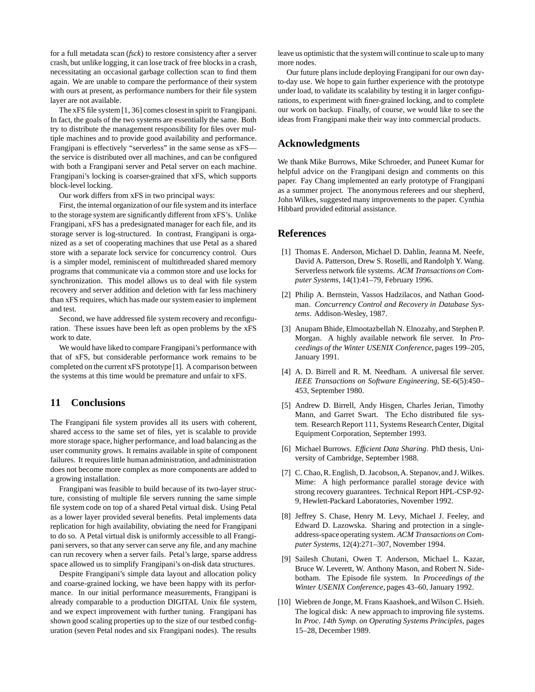for a full metadata scan (*fsck*) to restore consistency after a server crash, but unlike logging, it can lose track of free blocksin a crash, necessitating an occasional garbage collection scan to find them again. We are unable to compare the performance of their system with ours at present, as performance numbers for their file system layer are not available.

The xFS file system [1, 36] comes closest in spirit to Frangipani. In fact, the goals of the two systems are essentially the same. Both try to distribute the management responsibility for files over multiple machines and to provide good availability and performance. Frangipani is effectively "serverless" in the same sense as xFS the service is distributed over all machines, and can be configured with both a Frangipani server and Petal server on each machine. Frangipani's locking is coarser-grained that xFS, which supports block-level locking.

Our work differs from xFS in two principal ways:

First, the internal organization of our file system and its interface to the storage system are significantly different from xFS's. Unlike Frangipani, xFS has a predesignated manager for each file, and its storage server is log-structured. In contrast, Frangipani is organized as a set of cooperating machines that use Petal as a shared store with a separate lock service for concurrency control. Ours is a simpler model, reminiscent of multithreaded shared memory programs that communicate via a common store and use locks for synchronization. This model allows us to deal with file system recovery and server addition and deletion with far less machinery than xFS requires, which has made our system easier to implement and test.

Second, we have addressed file system recovery and reconfiguration. These issues have been left as open problems by the xFS work to date.

We would have liked to compare Frangipani's performance with that of xFS, but considerable performance work remains to be completed on the current xFS prototype [1]. A comparison between the systems at this time would be premature and unfair to xFS.

# **11 Conclusions**

The Frangipani file system provides all its users with coherent, shared access to the same set of files, yet is scalable to provide more storage space, higher performance, and load balancing asthe user community grows. It remains available in spite of component failures. It requires little human administration, and administration does not become more complex as more components are added to a growing installation.

Frangipani was feasible to build because of its two-layer structure, consisting of multiple file servers running the same simple file system code on top of a shared Petal virtual disk. Using Petal as a lower layer provided several benefits. Petal implements data replication for high availability, obviating the need for Frangipani to do so. A Petal virtual disk is uniformly accessible to all Frangipaniservers, so that any server can serve any file, and any machine can run recovery when a server fails. Petal's large, sparse address space allowed us to simplify Frangipani's on-disk data structures.

Despite Frangipani's simple data layout and allocation policy and coarse-grained locking, we have been happy with its performance. In our initial performance measurements, Frangipani is already comparable to a production DIGITAL Unix file system, and we expect improvement with further tuning. Frangipani has shown good scaling properties up to the size of our testbed configuration (seven Petal nodes and six Frangipani nodes). The results leave us optimistic that the system will continue to scale up to many more nodes.

Our future plans include deploying Frangipani for our own dayto-day use. We hope to gain further experience with the prototype under load, to validate its scalability by testing it in larger configurations, to experiment with finer-grained locking, and to complete our work on backup. Finally, of course, we would like to see the ideas from Frangipani make their way into commercial products.

# **Acknowledgments**

We thank Mike Burrows, Mike Schroeder, and Puneet Kumar for helpful advice on the Frangipani design and comments on this paper. Fay Chang implemented an early prototype of Frangipani as a summer project. The anonymous referees and our shepherd, John Wilkes, suggested many improvements to the paper. Cynthia Hibbard provided editorial assistance.

### **References**

- [1] Thomas E. Anderson, Michael D. Dahlin, Jeanna M. Neefe, David A. Patterson, Drew S. Roselli, and Randolph Y. Wang. Serverless network file systems. *ACM Transactions on Computer Systems*, 14(1):41–79, February 1996.
- [2] Philip A. Bernstein, Vassos Hadzilacos, and Nathan Goodman. *Concurrency Control and Recovery in Database Systems*. Addison-Wesley, 1987.
- [3] Anupam Bhide, Elmootazbellah N. Elnozahy, and Stephen P. Morgan. A highly available network file server. In *Proceedings of the Winter USENIX Conference*, pages 199–205, January 1991.
- [4] A. D. Birrell and R. M. Needham. A universal file server. *IEEE Transactions on Software Engineering*, SE-6(5):450– 453, September 1980.
- [5] Andrew D. Birrell, Andy Hisgen, Charles Jerian, Timothy Mann, and Garret Swart. The Echo distributed file system. Research Report 111, Systems Research Center, Digital Equipment Corporation, September 1993.
- [6] Michael Burrows. *Efficient Data Sharing*. PhD thesis, University of Cambridge, September 1988.
- [7] C. Chao, R. English, D. Jacobson, A. Stepanov, and J. Wilkes. Mime: A high performance parallel storage device with strong recovery guarantees. Technical Report HPL-CSP-92- 9, Hewlett-Packard Laboratories, November 1992.
- [8] Jeffrey S. Chase, Henry M. Levy, Michael J. Feeley, and Edward D. Lazowska. Sharing and protection in a singleaddress-spaceoperating system. *ACM Transactions on Computer Systems*, 12(4):271–307, November 1994.
- [9] Sailesh Chutani, Owen T. Anderson, Michael L. Kazar, Bruce W. Leverett, W. Anthony Mason, and Robert N. Sidebotham. The Episode file system. In *Proceedings of the Winter USENIX Conference*, pages 43–60, January 1992.
- [10] Wiebren de Jonge, M. Frans Kaashoek, and Wilson C. Hsieh. The logical disk: A new approach to improving file systems. In *Proc. 14th Symp. on Operating Systems Principles*, pages 15–28, December 1989.